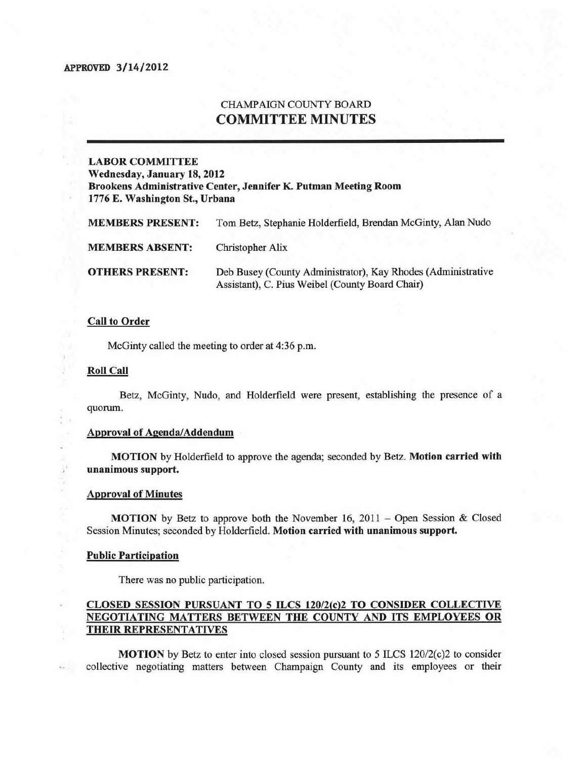## CHAMPAIGN COUNTY BOARD COMMITTEE MINUTES

# LABOR COMMITTEE Wednesday, January 18, 2012

Brookens Administrative Center, Jennifer K. Putman Meeting Room 1776 E. Washington St., Urbana

| <b>MEMBERS PRESENT:</b> | Tom Betz, Stephanie Holderfield, Brendan McGinty, Alan Nudo                                                     |
|-------------------------|-----------------------------------------------------------------------------------------------------------------|
| <b>MEMBERS ABSENT:</b>  | Christopher Alix                                                                                                |
| <b>OTHERS PRESENT:</b>  | Deb Busey (County Administrator), Kay Rhodes (Administrative<br>Assistant), C. Pius Weibel (County Board Chair) |

#### Call to Order

McGinty called the meeting to order at 4:36 p.m.

#### Roll Call

L.

 $\frac{1}{2}$ ¥

 $E_{\rm{max}}$ 

Betz, McGinty. Nuda, and Holderfield were present, establishing the presence of a quorum.

#### Approval of Agenda/Addendum

MOTION by Holderfield to approve the agenda; seconded by *Betz.* Motion carried with unanimous support.

#### Approval of Minutes

**MOTION** by Betz to approve both the November 16,  $2011 -$ Open Session & Closed Session Minutes; seconded by Holderfield. Motion carried witb unanimous support.

#### Public Participation

There was no public participation.

### CLOSED SESSION PURSUANT TO 5 ILCS 120/2(c)2 TO CONSIDER COLLECTIVE NEGOTiATING MATTERS BETWEEN THE COUNTY AND ITS EMPLOYEES OR THEIR REPRESENTATIVES

**MOTION** by Betz to enter into closed session pursuant to 5 ILCS  $120/2(c)$  to consider collective negotiating matters between Champaign County and its employees or their